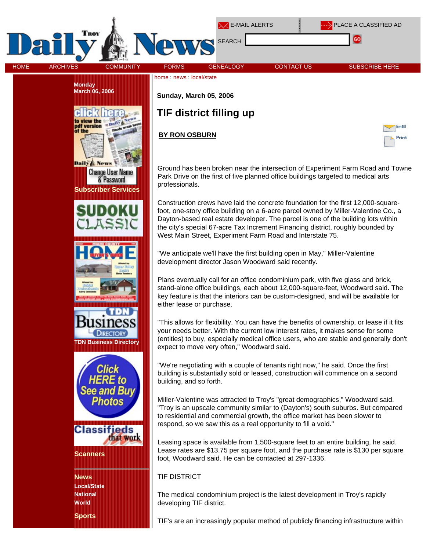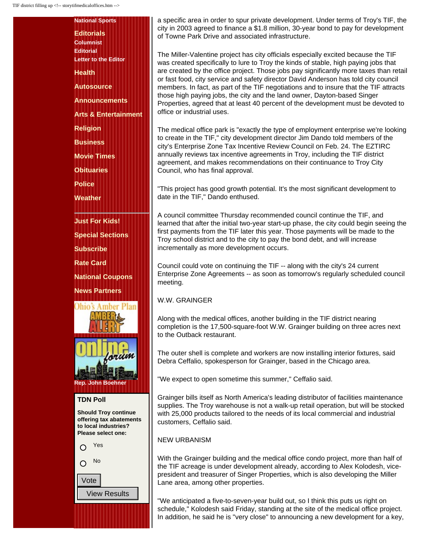| <b>National Sports</b>                                                       |
|------------------------------------------------------------------------------|
| <b>Editorials</b>                                                            |
| <b>Columnist</b>                                                             |
| <b>Editorial</b><br><b>Letter to the Editor</b>                              |
| <b>Health</b>                                                                |
| <b>Autosource</b>                                                            |
| <b>Announcements</b>                                                         |
| <b>Arts &amp; Entertainment</b>                                              |
| <b>Religion</b>                                                              |
| <b>Business</b>                                                              |
| <b>Movie Times</b>                                                           |
| <b>Obituaries</b>                                                            |
| <b>Police</b>                                                                |
| <b>Weather</b>                                                               |
| <b>Just For Kids!</b>                                                        |
| <b>Special Sections</b>                                                      |
| <b>Subscribe</b>                                                             |
| <b>Rate Card</b>                                                             |
| <b>National Coupons</b>                                                      |
| <b>News Partners</b>                                                         |
| Ohio <sup>*</sup><br>ber Plan                                                |
|                                                                              |
|                                                                              |
| orwin                                                                        |
| <b>John Boehner</b><br>Rep.                                                  |
| <b>TDN Poll</b>                                                              |
| <b>Should Troy continue</b>                                                  |
| offering tax abatements<br>to local industries?<br><b>Please select one:</b> |
| Yes<br>$\bigcap$                                                             |
| No                                                                           |
|                                                                              |
| √ote                                                                         |
| /iew Results                                                                 |
|                                                                              |

a specific area in order to spur private development. Under terms of Troy's TIF, the city in 2003 agreed to finance a \$1.8 million, 30-year bond to pay for development of Towne Park Drive and associated infrastructure.

The Miller-Valentine project has city officials especially excited because the TIF was created specifically to lure to Troy the kinds of stable, high paying jobs that are created by the office project. Those jobs pay significantly more taxes than retail or fast food, city service and safety director David Anderson has told city council members. In fact, as part of the TIF negotiations and to insure that the TIF attracts those high paying jobs, the city and the land owner, Dayton-based Singer Properties, agreed that at least 40 percent of the development must be devoted to office or industrial uses.

The medical office park is "exactly the type of employment enterprise we're looking to create in the TIF," city development director Jim Dando told members of the city's Enterprise Zone Tax Incentive Review Council on Feb. 24. The EZTIRC annually reviews tax incentive agreements in Troy, including the TIF district agreement, and makes recommendations on their continuance to Troy City Council, who has final approval.

"This project has good growth potential. It's the most significant development to date in the TIF," Dando enthused.

A council committee Thursday recommended council continue the TIF, and learned that after the initial two-year start-up phase, the city could begin seeing the first payments from the TIF later this year. Those payments will be made to the Troy school district and to the city to pay the bond debt, and will increase incrementally as more development occurs.

Council could vote on continuing the TIF -- along with the city's 24 current Enterprise Zone Agreements -- as soon as tomorrow's regularly scheduled council meeting.

## W.W. GRAINGER

Along with the medical offices, another building in the TIF district nearing completion is the 17,500-square-foot W.W. Grainger building on three acres next to the Outback restaurant.

The outer shell is complete and workers are now installing interior fixtures, said Debra Ceffalio, spokesperson for Grainger, based in the Chicago area.

"We expect to open sometime this summer," Ceffalio said.

Grainger bills itself as North America's leading distributor of facilities maintenance supplies. The Troy warehouse is not a walk-up retail operation, but will be stocked with 25,000 products tailored to the needs of its local commercial and industrial customers, Ceffalio said.

## NEW URBANISM

With the Grainger building and the medical office condo project, more than half of the TIF acreage is under development already, according to Alex Kolodesh, vicepresident and treasurer of Singer Properties, which is also developing the Miller Lane area, among other properties.

"We anticipated a five-to-seven-year build out, so I think this puts us right on schedule," Kolodesh said Friday, standing at the site of the medical office project. In addition, he said he is "very close" to announcing a new development for a key,